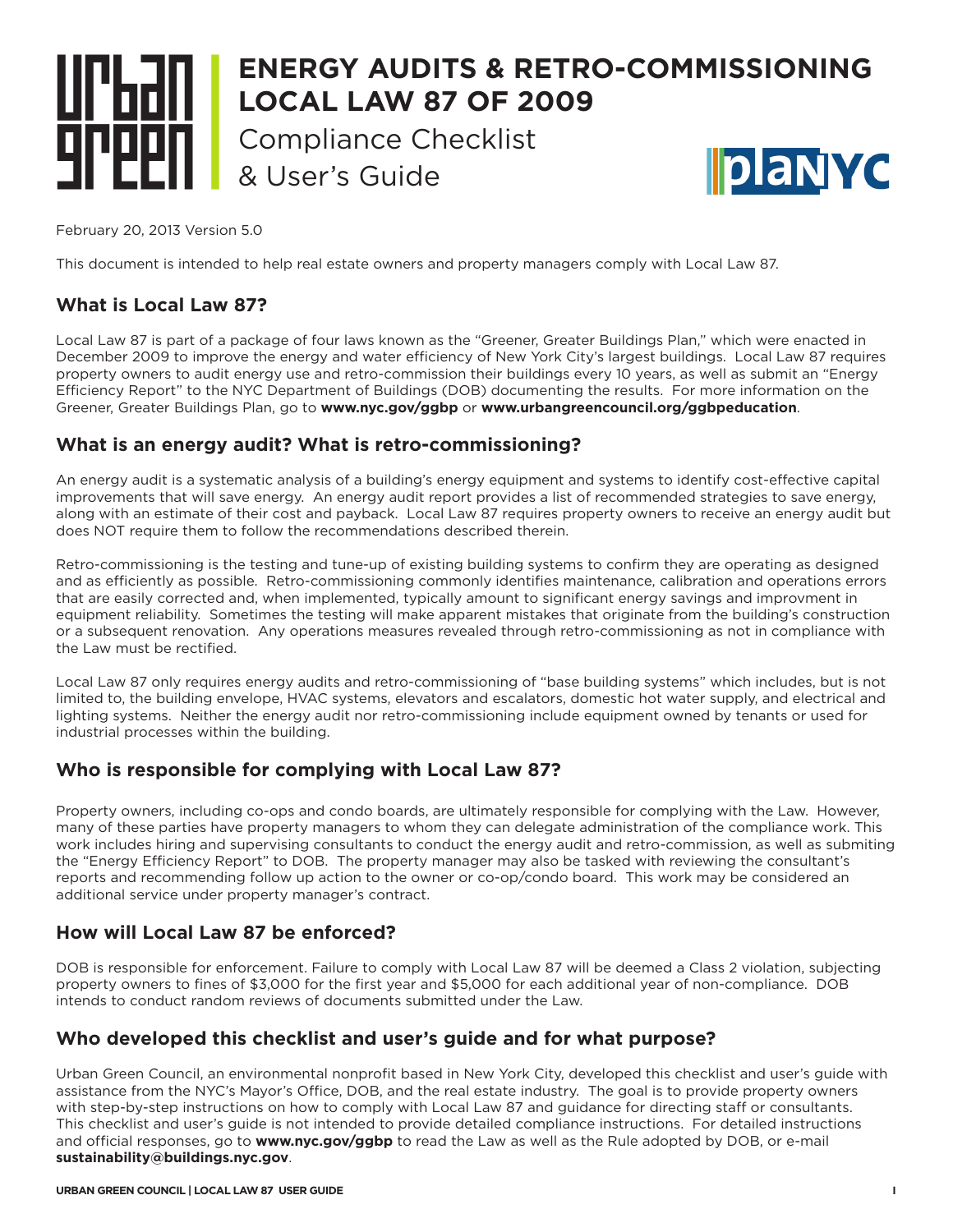## **ENERGY AUDITS & RETRO-COMMISSIONING LOCAL LAW 87 OF 2009 Compliance Checklist ||planyc** & User's Guide

February 20, 2013 Version 5.0

This document is intended to help real estate owners and property managers comply with Local Law 87.

## **What is Local Law 87?**

Local Law 87 is part of a package of four laws known as the "Greener, Greater Buildings Plan," which were enacted in December 2009 to improve the energy and water efficiency of New York City's largest buildings. Local Law 87 requires property owners to audit energy use and retro-commission their buildings every 10 years, as well as submit an "Energy Efficiency Report" to the NYC Department of Buildings (DOB) documenting the results. For more information on the Greener, Greater Buildings Plan, go to **www.nyc.gov/ggbp** or **www.urbangreencouncil.org/ggbpeducation**.

### **What is an energy audit? What is retro-commissioning?**

An energy audit is a systematic analysis of a building's energy equipment and systems to identify cost-effective capital improvements that will save energy. An energy audit report provides a list of recommended strategies to save energy, along with an estimate of their cost and payback. Local Law 87 requires property owners to receive an energy audit but does NOT require them to follow the recommendations described therein.

Retro-commissioning is the testing and tune-up of existing building systems to confirm they are operating as designed and as efficiently as possible. Retro-commissioning commonly identifies maintenance, calibration and operations errors that are easily corrected and, when implemented, typically amount to significant energy savings and improvment in equipment reliability. Sometimes the testing will make apparent mistakes that originate from the building's construction or a subsequent renovation. Any operations measures revealed through retro-commissioning as not in compliance with the Law must be rectified.

Local Law 87 only requires energy audits and retro-commissioning of "base building systems" which includes, but is not limited to, the building envelope, HVAC systems, elevators and escalators, domestic hot water supply, and electrical and lighting systems. Neither the energy audit nor retro-commissioning include equipment owned by tenants or used for industrial processes within the building.

## **Who is responsible for complying with Local Law 87?**

Property owners, including co-ops and condo boards, are ultimately responsible for complying with the Law. However, many of these parties have property managers to whom they can delegate administration of the compliance work. This work includes hiring and supervising consultants to conduct the energy audit and retro-commission, as well as submiting the "Energy Efficiency Report" to DOB. The property manager may also be tasked with reviewing the consultant's reports and recommending follow up action to the owner or co-op/condo board. This work may be considered an additional service under property manager's contract.

## **How will Local Law 87 be enforced?**

DOB is responsible for enforcement. Failure to comply with Local Law 87 will be deemed a Class 2 violation, subjecting property owners to fines of \$3,000 for the first year and \$5,000 for each additional year of non-compliance. DOB intends to conduct random reviews of documents submitted under the Law.

## **Who developed this checklist and user's guide and for what purpose?**

Urban Green Council, an environmental nonprofit based in New York City, developed this checklist and user's guide with assistance from the NYC's Mayor's Office, DOB, and the real estate industry. The goal is to provide property owners with step-by-step instructions on how to comply with Local Law 87 and guidance for directing staff or consultants. This checklist and user's guide is not intended to provide detailed compliance instructions. For detailed instructions and official responses, go to **www.nyc.gov/ggbp** to read the Law as well as the Rule adopted by DOB, or e-mail **sustainability@buildings.nyc.gov**.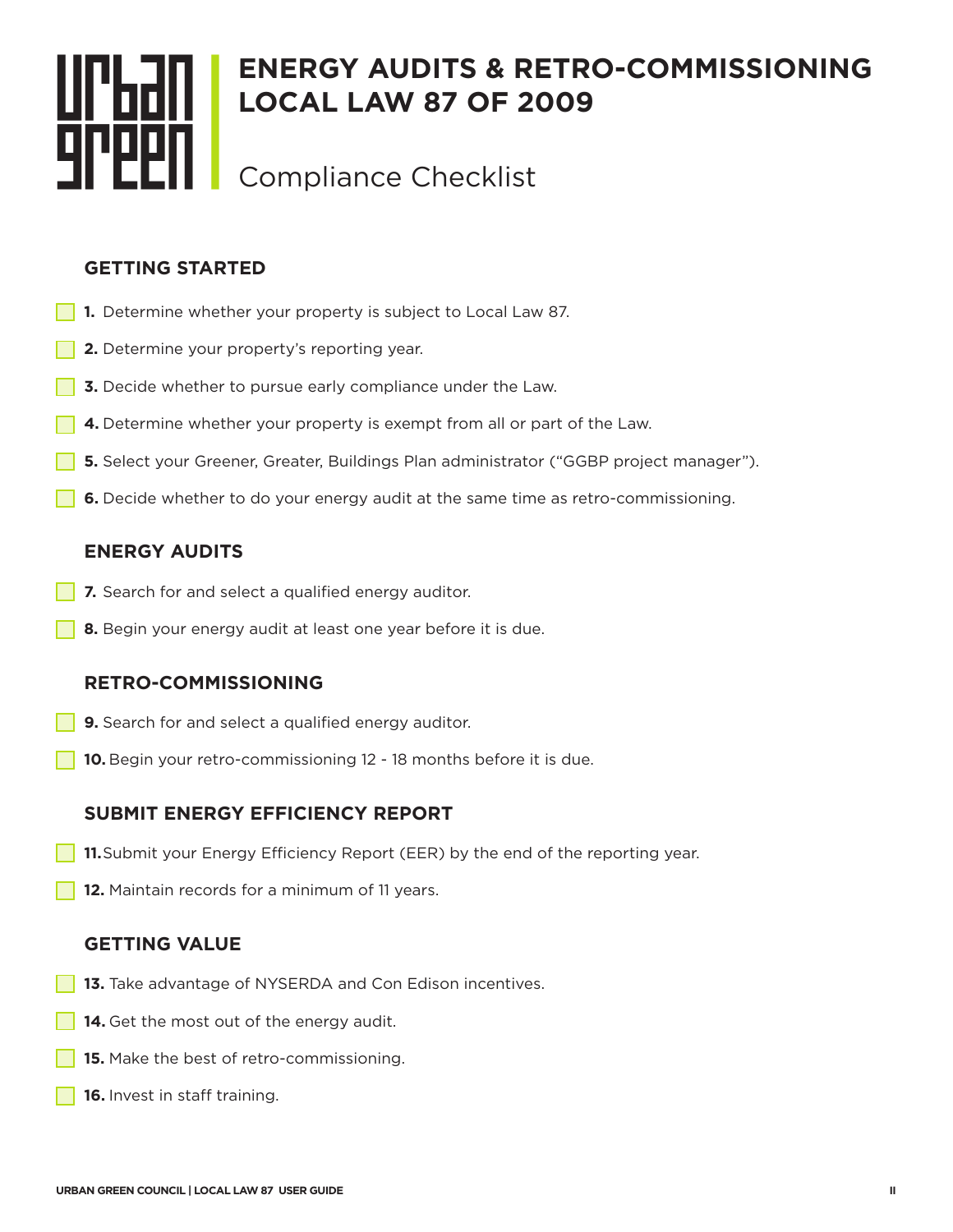# **ENERGY AUDITS & RETRO-COMMISSIONING LOCAL LAW 87 OF 2009** Compliance Checklist

## **GETTING STARTED**

- **1.** Determine whether your property is subject to Local Law 87.
- **2.** Determine your property's reporting year.
- **3.** Decide whether to pursue early compliance under the Law.
- **4.** Determine whether your property is exempt from all or part of the Law.
- **5.** Select your Greener, Greater, Buildings Plan administrator ("GGBP project manager").
- **6.** Decide whether to do your energy audit at the same time as retro-commissioning.

## **ENERGY AUDITS**

- **7.** Search for and select a qualified energy auditor.
- **8.** Begin your energy audit at least one year before it is due.

## **RETRO-COMMISSIONING**

- **9.** Search for and select a qualified energy auditor.
- **10.** Begin your retro-commissioning 12 18 months before it is due.

## **SUBMIT ENERGY EFFICIENCY REPORT**

- **11.** Submit your Energy Efficiency Report (EER) by the end of the reporting year.
- **12.** Maintain records for a minimum of 11 years.

## **GETTING VALUE**

- **13.** Take advantage of NYSERDA and Con Edison incentives.
- **14.** Get the most out of the energy audit.
- **15.** Make the best of retro-commissioning.
- **16.** Invest in staff training.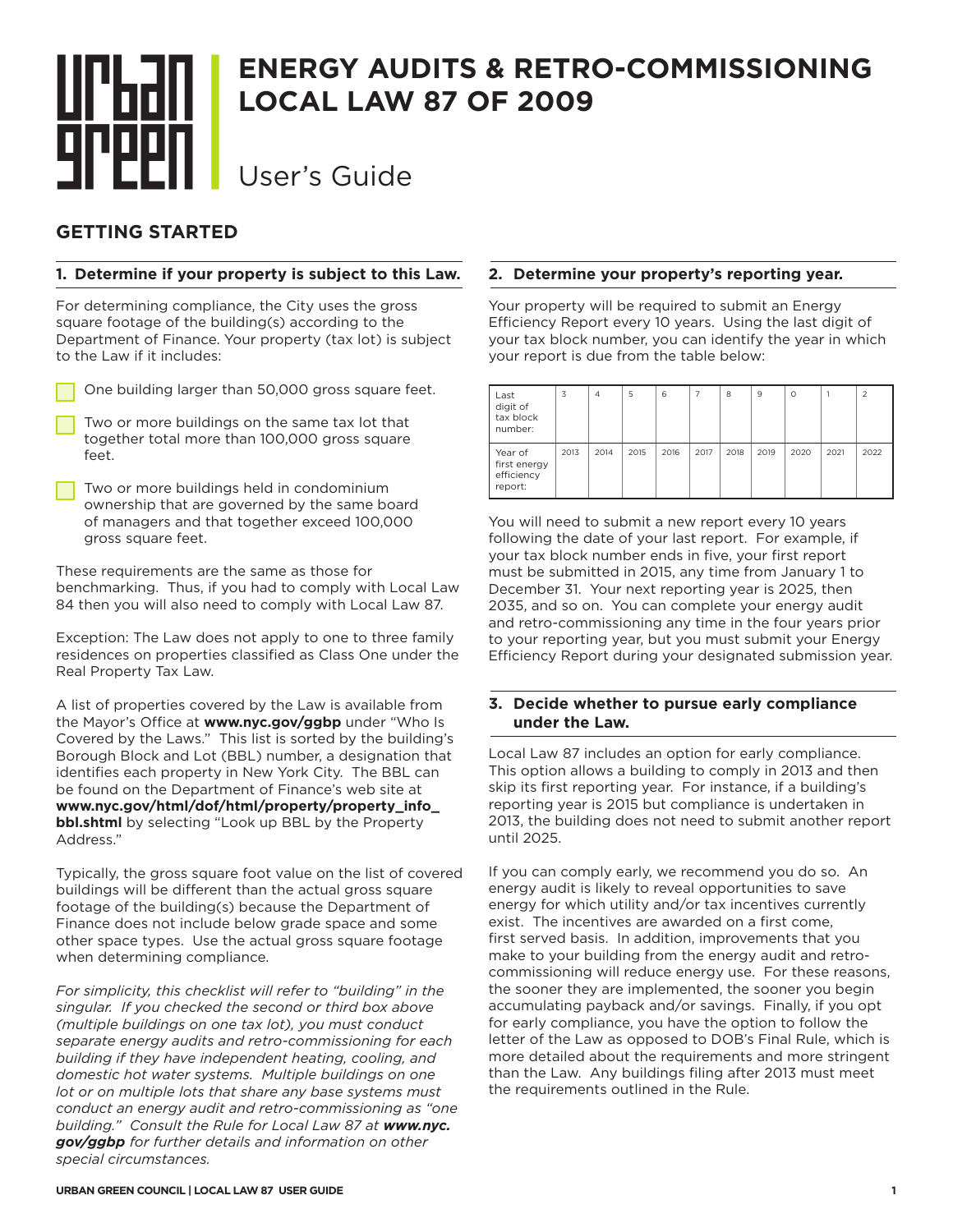## **ENERGY AUDITS & RETRO-COMMISSIONING LOCAL LAW 87 OF 2009** User's Guide

## **GETTING STARTED**

#### **1. Determine if your property is subject to this Law.**

For determining compliance, the City uses the gross square footage of the building(s) according to the Department of Finance. Your property (tax lot) is subject to the Law if it includes:

| One building larger than 50,000 gross square feet. |
|----------------------------------------------------|

- Two or more buildings on the same tax lot that together total more than 100,000 gross square feet.
- Two or more buildings held in condominium ownership that are governed by the same board of managers and that together exceed 100,000 gross square feet.

These requirements are the same as those for benchmarking. Thus, if you had to comply with Local Law 84 then you will also need to comply with Local Law 87.

Exception: The Law does not apply to one to three family residences on properties classified as Class One under the Real Property Tax Law.

A list of properties covered by the Law is available from the Mayor's Office at **www.nyc.gov/ggbp** under "Who Is Covered by the Laws." This list is sorted by the building's Borough Block and Lot (BBL) number, a designation that identifies each property in New York City. The BBL can be found on the Department of Finance's web site at **www.nyc.gov/html/dof/html/property/property\_info\_ bbl.shtml** by selecting "Look up BBL by the Property Address."

Typically, the gross square foot value on the list of covered buildings will be different than the actual gross square footage of the building(s) because the Department of Finance does not include below grade space and some other space types. Use the actual gross square footage when determining compliance.

*For simplicity, this checklist will refer to "building" in the singular. If you checked the second or third box above (multiple buildings on one tax lot), you must conduct separate energy audits and retro-commissioning for each building if they have independent heating, cooling, and domestic hot water systems. Multiple buildings on one lot or on multiple lots that share any base systems must conduct an energy audit and retro-commissioning as "one building." Consult the Rule for Local Law 87 at www.nyc. gov/ggbp for further details and information on other special circumstances.*

#### **2. Determine your property's reporting year.**

Your property will be required to submit an Energy Efficiency Report every 10 years. Using the last digit of your tax block number, you can identify the year in which your report is due from the table below:

| Last<br>digit of<br>tax block<br>number:         | 3    | $\overline{4}$ | 5    | 6    | $\overline{7}$ | 8    | 9    | $\circ$ |      | 2    |
|--------------------------------------------------|------|----------------|------|------|----------------|------|------|---------|------|------|
| Year of<br>first energy<br>efficiency<br>report: | 2013 | 2014           | 2015 | 2016 | 2017           | 2018 | 2019 | 2020    | 2021 | 2022 |

You will need to submit a new report every 10 years following the date of your last report. For example, if your tax block number ends in five, your first report must be submitted in 2015, any time from January 1 to December 31. Your next reporting year is 2025, then 2035, and so on. You can complete your energy audit and retro-commissioning any time in the four years prior to your reporting year, but you must submit your Energy Efficiency Report during your designated submission year.

#### **3. Decide whether to pursue early compliance under the Law.**

Local Law 87 includes an option for early compliance. This option allows a building to comply in 2013 and then skip its first reporting year. For instance, if a building's reporting year is 2015 but compliance is undertaken in 2013, the building does not need to submit another report until 2025.

If you can comply early, we recommend you do so. An energy audit is likely to reveal opportunities to save energy for which utility and/or tax incentives currently exist. The incentives are awarded on a first come, first served basis. In addition, improvements that you make to your building from the energy audit and retrocommissioning will reduce energy use. For these reasons, the sooner they are implemented, the sooner you begin accumulating payback and/or savings. Finally, if you opt for early compliance, you have the option to follow the letter of the Law as opposed to DOB's Final Rule, which is more detailed about the requirements and more stringent than the Law. Any buildings filing after 2013 must meet the requirements outlined in the Rule.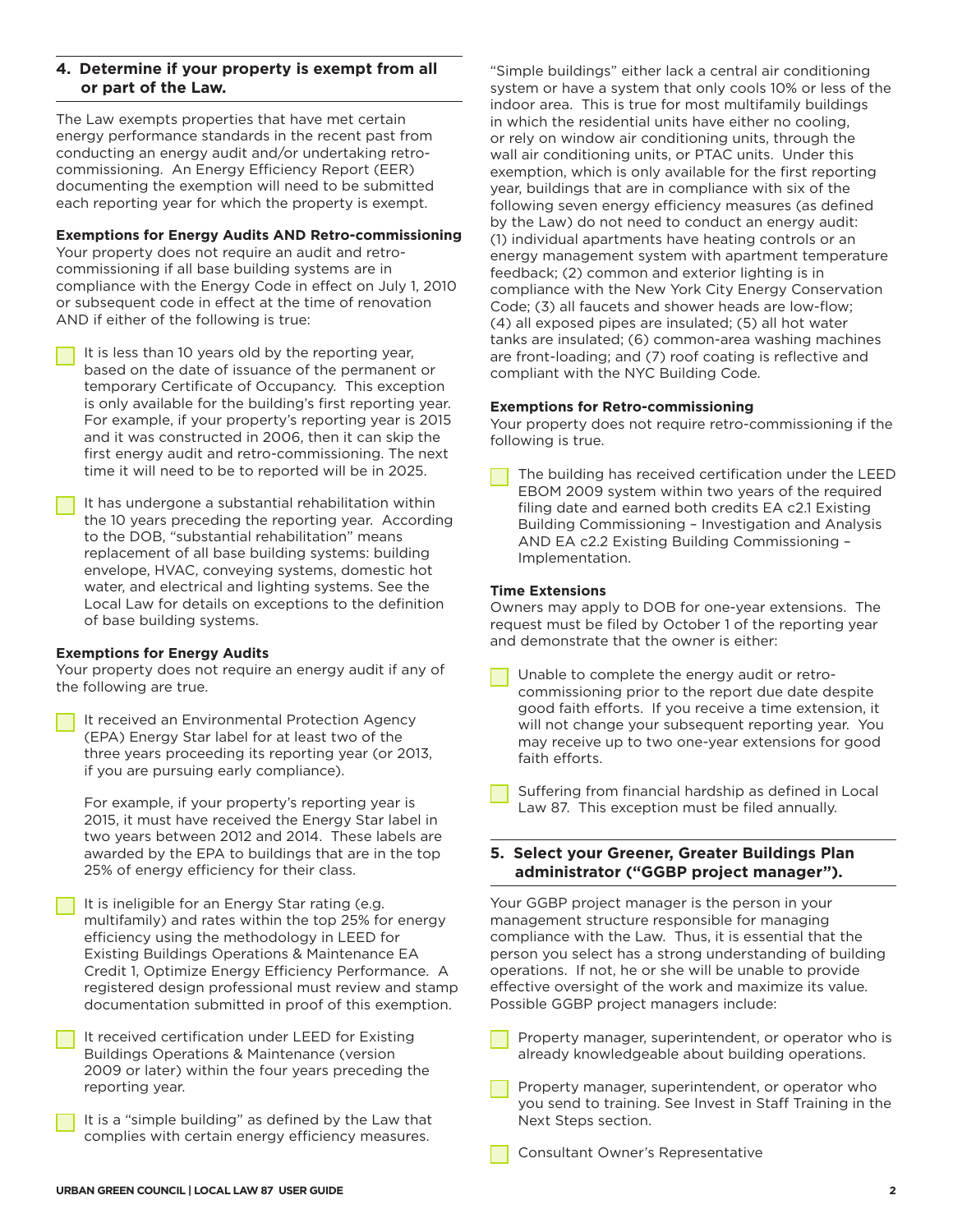#### **4. Determine if your property is exempt from all or part of the Law.**

The Law exempts properties that have met certain energy performance standards in the recent past from conducting an energy audit and/or undertaking retrocommissioning. An Energy Efficiency Report (EER) documenting the exemption will need to be submitted each reporting year for which the property is exempt.

#### **Exemptions for Energy Audits AND Retro-commissioning**

Your property does not require an audit and retrocommissioning if all base building systems are in compliance with the Energy Code in effect on July 1, 2010 or subsequent code in effect at the time of renovation AND if either of the following is true:

It is less than 10 years old by the reporting year. based on the date of issuance of the permanent or temporary Certificate of Occupancy. This exception is only available for the building's first reporting year. For example, if your property's reporting year is 2015 and it was constructed in 2006, then it can skip the first energy audit and retro-commissioning. The next time it will need to be to reported will be in 2025.

It has undergone a substantial rehabilitation within the 10 years preceding the reporting year. According to the DOB, "substantial rehabilitation" means replacement of all base building systems: building envelope, HVAC, conveying systems, domestic hot water, and electrical and lighting systems. See the Local Law for details on exceptions to the definition of base building systems.

#### **Exemptions for Energy Audits**

Your property does not require an energy audit if any of the following are true.

It received an Environmental Protection Agency (EPA) Energy Star label for at least two of the three years proceeding its reporting year (or 2013, if you are pursuing early compliance).

For example, if your property's reporting year is 2015, it must have received the Energy Star label in two years between 2012 and 2014. These labels are awarded by the EPA to buildings that are in the top 25% of energy efficiency for their class.

It is ineligible for an Energy Star rating (e.g. multifamily) and rates within the top 25% for energy efficiency using the methodology in LEED for Existing Buildings Operations & Maintenance EA Credit 1, Optimize Energy Efficiency Performance. A registered design professional must review and stamp documentation submitted in proof of this exemption.

It received certification under LEED for Existing Buildings Operations & Maintenance (version 2009 or later) within the four years preceding the reporting year.

It is a "simple building" as defined by the Law that complies with certain energy efficiency measures.

"Simple buildings" either lack a central air conditioning system or have a system that only cools 10% or less of the indoor area. This is true for most multifamily buildings in which the residential units have either no cooling, or rely on window air conditioning units, through the wall air conditioning units, or PTAC units. Under this exemption, which is only available for the first reporting year, buildings that are in compliance with six of the following seven energy efficiency measures (as defined by the Law) do not need to conduct an energy audit: (1) individual apartments have heating controls or an energy management system with apartment temperature feedback; (2) common and exterior lighting is in compliance with the New York City Energy Conservation Code; (3) all faucets and shower heads are low-flow; (4) all exposed pipes are insulated; (5) all hot water tanks are insulated; (6) common-area washing machines are front-loading; and (7) roof coating is reflective and compliant with the NYC Building Code.

#### **Exemptions for Retro-commissioning**

Your property does not require retro-commissioning if the following is true.

The building has received certification under the LEED EBOM 2009 system within two years of the required filing date and earned both credits EA c2.1 Existing Building Commissioning – Investigation and Analysis AND EA c2.2 Existing Building Commissioning – Implementation.

#### **Time Extensions**

Owners may apply to DOB for one-year extensions. The request must be filed by October 1 of the reporting year and demonstrate that the owner is either:

- Unable to complete the energy audit or retrocommissioning prior to the report due date despite good faith efforts. If you receive a time extension, it will not change your subsequent reporting year. You may receive up to two one-year extensions for good faith efforts.
- Suffering from financial hardship as defined in Local Law 87. This exception must be filed annually.

#### **5. Select your Greener, Greater Buildings Plan administrator ("GGBP project manager").**

Your GGBP project manager is the person in your management structure responsible for managing compliance with the Law. Thus, it is essential that the person you select has a strong understanding of building operations. If not, he or she will be unable to provide effective oversight of the work and maximize its value. Possible GGBP project managers include:

- Property manager, superintendent, or operator who is already knowledgeable about building operations.
- Property manager, superintendent, or operator who you send to training. See Invest in Staff Training in the Next Steps section.
- Consultant Owner's Representative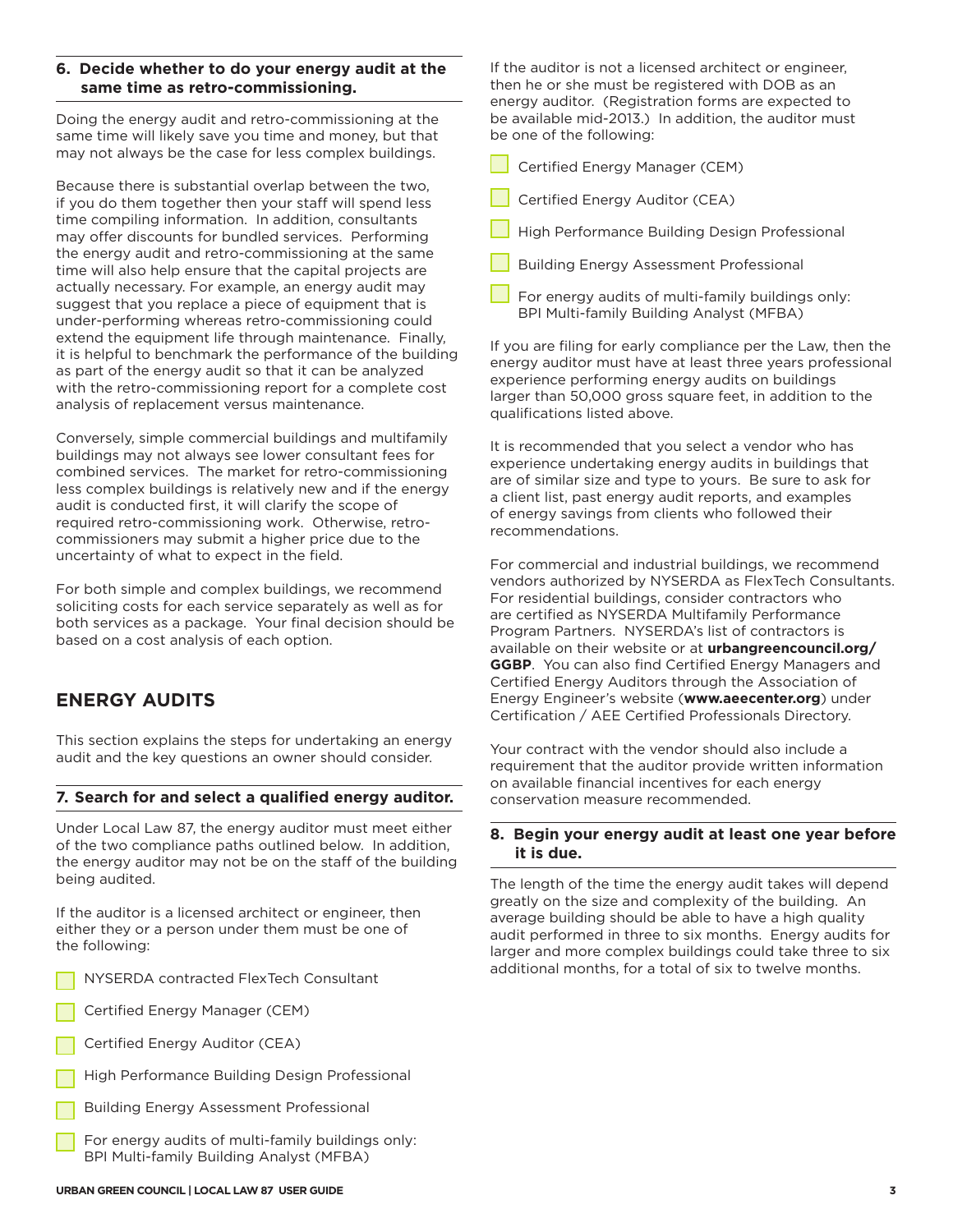#### **6. Decide whether to do your energy audit at the same time as retro-commissioning.**

Doing the energy audit and retro-commissioning at the same time will likely save you time and money, but that may not always be the case for less complex buildings.

Because there is substantial overlap between the two, if you do them together then your staff will spend less time compiling information. In addition, consultants may offer discounts for bundled services. Performing the energy audit and retro-commissioning at the same time will also help ensure that the capital projects are actually necessary. For example, an energy audit may suggest that you replace a piece of equipment that is under-performing whereas retro-commissioning could extend the equipment life through maintenance. Finally, it is helpful to benchmark the performance of the building as part of the energy audit so that it can be analyzed with the retro-commissioning report for a complete cost analysis of replacement versus maintenance.

Conversely, simple commercial buildings and multifamily buildings may not always see lower consultant fees for combined services. The market for retro-commissioning less complex buildings is relatively new and if the energy audit is conducted first, it will clarify the scope of required retro-commissioning work. Otherwise, retrocommissioners may submit a higher price due to the uncertainty of what to expect in the field.

For both simple and complex buildings, we recommend soliciting costs for each service separately as well as for both services as a package. Your final decision should be based on a cost analysis of each option.

## **ENERGY AUDITS**

This section explains the steps for undertaking an energy audit and the key questions an owner should consider.

#### **7. Search for and select a qualified energy auditor.**

Under Local Law 87, the energy auditor must meet either of the two compliance paths outlined below. In addition, the energy auditor may not be on the staff of the building being audited.

If the auditor is a licensed architect or engineer, then either they or a person under them must be one of the following:

- NYSERDA contracted FlexTech Consultant
- Certified Energy Manager (CEM)
- Certified Energy Auditor (CEA)
- High Performance Building Design Professional
- **Building Energy Assessment Professional**
- For energy audits of multi-family buildings only: BPI Multi-family Building Analyst (MFBA)

If the auditor is not a licensed architect or engineer, then he or she must be registered with DOB as an energy auditor. (Registration forms are expected to be available mid-2013.) In addition, the auditor must be one of the following:

Certified Energy Manager (CEM)

- Certified Energy Auditor (CEA)
- High Performance Building Design Professional
- Building Energy Assessment Professional
- For energy audits of multi-family buildings only: BPI Multi-family Building Analyst (MFBA)

If you are filing for early compliance per the Law, then the energy auditor must have at least three years professional experience performing energy audits on buildings larger than 50,000 gross square feet, in addition to the qualifications listed above.

It is recommended that you select a vendor who has experience undertaking energy audits in buildings that are of similar size and type to yours. Be sure to ask for a client list, past energy audit reports, and examples of energy savings from clients who followed their recommendations.

For commercial and industrial buildings, we recommend vendors authorized by NYSERDA as FlexTech Consultants. For residential buildings, consider contractors who are certified as NYSERDA Multifamily Performance Program Partners. NYSERDA's list of contractors is available on their website or at **urbangreencouncil.org/ GGBP**. You can also find Certified Energy Managers and Certified Energy Auditors through the Association of Energy Engineer's website (**www.aeecenter.org**) under Certification / AEE Certified Professionals Directory.

Your contract with the vendor should also include a requirement that the auditor provide written information on available financial incentives for each energy conservation measure recommended.

#### **8. Begin your energy audit at least one year before it is due.**

The length of the time the energy audit takes will depend greatly on the size and complexity of the building. An average building should be able to have a high quality audit performed in three to six months. Energy audits for larger and more complex buildings could take three to six additional months, for a total of six to twelve months.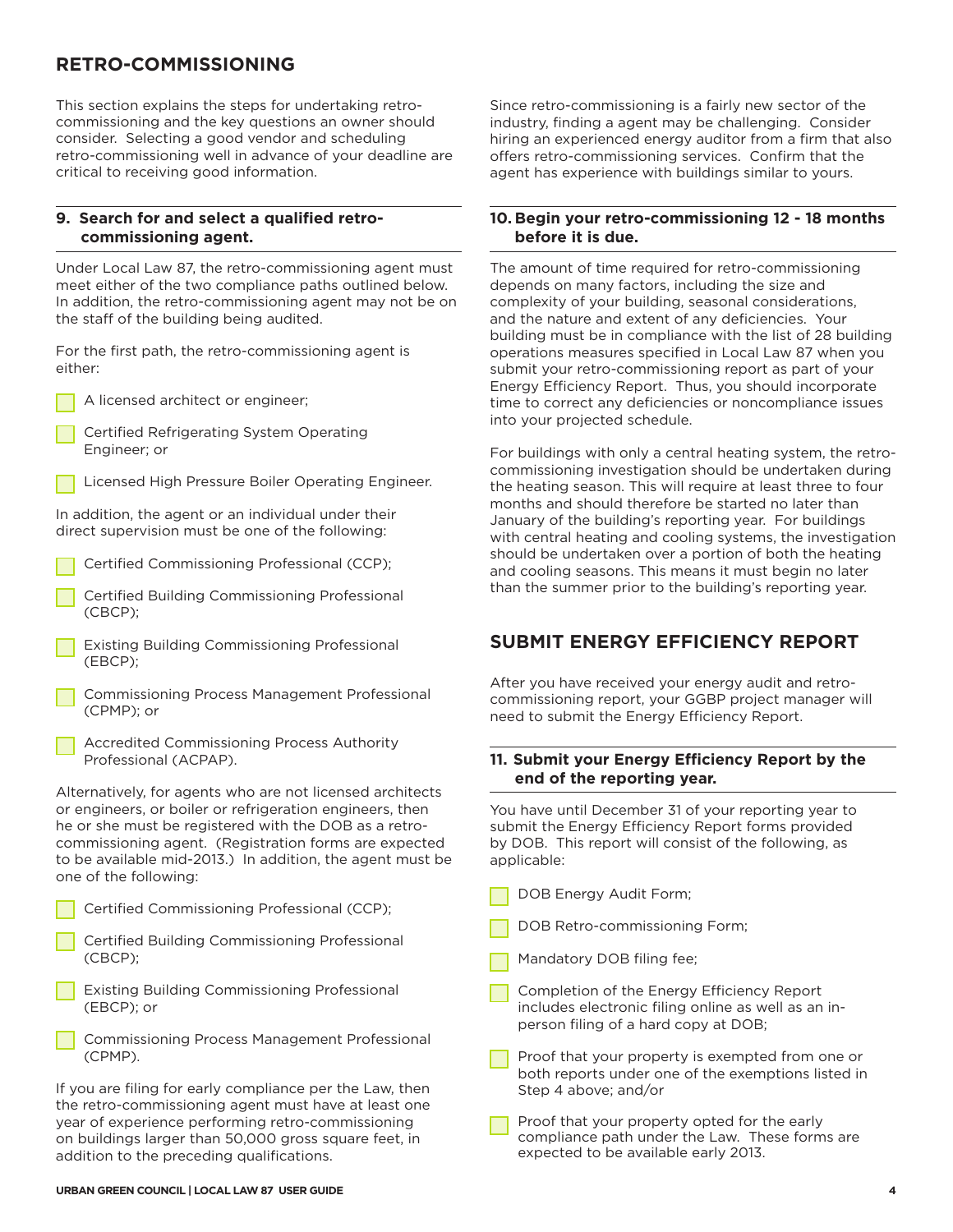## **RETRO-COMMISSIONING**

This section explains the steps for undertaking retrocommissioning and the key questions an owner should consider. Selecting a good vendor and scheduling retro-commissioning well in advance of your deadline are critical to receiving good information.

#### **9. Search for and select a qualified retrocommissioning agent.**

Under Local Law 87, the retro-commissioning agent must meet either of the two compliance paths outlined below. In addition, the retro-commissioning agent may not be on the staff of the building being audited.

For the first path, the retro-commissioning agent is either:

A licensed architect or engineer;

Certified Refrigerating System Operating Engineer; or



In addition, the agent or an individual under their direct supervision must be one of the following:

- Certified Commissioning Professional (CCP);
- Certified Building Commissioning Professional (CBCP);
- **Existing Building Commissioning Professional** (EBCP);
- Commissioning Process Management Professional (CPMP); or
- Accredited Commissioning Process Authority Professional (ACPAP).

Alternatively, for agents who are not licensed architects or engineers, or boiler or refrigeration engineers, then he or she must be registered with the DOB as a retrocommissioning agent. (Registration forms are expected to be available mid-2013.) In addition, the agent must be one of the following:

| Certified Commissioning Professional (CCP);                                                                                                                           |  |  |  |  |  |  |
|-----------------------------------------------------------------------------------------------------------------------------------------------------------------------|--|--|--|--|--|--|
| Certified Building Commissioning Professional<br>(CBCP):                                                                                                              |  |  |  |  |  |  |
| Existing Building Commissioning Professional<br>(EBCP); or                                                                                                            |  |  |  |  |  |  |
| Commissioning Process Management Professional<br>(CPMP).                                                                                                              |  |  |  |  |  |  |
| If you are filing for early compliance per the Law, then<br>the retro-commissioning agent must have at least one<br>year of experience performing retro-commissioning |  |  |  |  |  |  |

on buildings larger than 50,000 gross square feet, in

Since retro-commissioning is a fairly new sector of the industry, finding a agent may be challenging. Consider hiring an experienced energy auditor from a firm that also offers retro-commissioning services. Confirm that the agent has experience with buildings similar to yours.

#### **10. Begin your retro-commissioning 12 - 18 months before it is due.**

The amount of time required for retro-commissioning depends on many factors, including the size and complexity of your building, seasonal considerations, and the nature and extent of any deficiencies. Your building must be in compliance with the list of 28 building operations measures specified in Local Law 87 when you submit your retro-commissioning report as part of your Energy Efficiency Report. Thus, you should incorporate time to correct any deficiencies or noncompliance issues into your projected schedule.

For buildings with only a central heating system, the retrocommissioning investigation should be undertaken during the heating season. This will require at least three to four months and should therefore be started no later than January of the building's reporting year. For buildings with central heating and cooling systems, the investigation should be undertaken over a portion of both the heating and cooling seasons. This means it must begin no later than the summer prior to the building's reporting year.

## **SUBMIT ENERGY EFFICIENCY REPORT**

After you have received your energy audit and retrocommissioning report, your GGBP project manager will need to submit the Energy Efficiency Report.

#### **11. Submit your Energy Efficiency Report by the end of the reporting year.**

You have until December 31 of your reporting year to submit the Energy Efficiency Report forms provided by DOB. This report will consist of the following, as applicable:

- DOB Energy Audit Form;
- DOB Retro-commissioning Form;
- Mandatory DOB filing fee;
- Completion of the Energy Efficiency Report includes electronic filing online as well as an inperson filing of a hard copy at DOB;
- Proof that your property is exempted from one or both reports under one of the exemptions listed in Step 4 above; and/or
- Proof that your property opted for the early compliance path under the Law. These forms are expected to be available early 2013.

addition to the preceding qualifications.